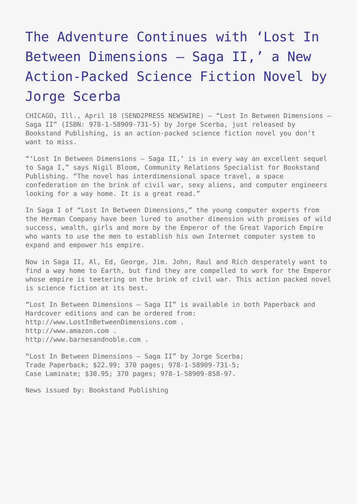## [The Adventure Continues with 'Lost In](https://www.send2press.com/wire/2011-04-0418-003-bookstand/) [Between Dimensions – Saga II,' a New](https://www.send2press.com/wire/2011-04-0418-003-bookstand/) [Action-Packed Science Fiction Novel by](https://www.send2press.com/wire/2011-04-0418-003-bookstand/) [Jorge Scerba](https://www.send2press.com/wire/2011-04-0418-003-bookstand/)

CHICAGO, Ill., April 18 (SEND2PRESS NEWSWIRE) — "Lost In Between Dimensions – Saga II" (ISBN: 978-1-58909-731-5) by Jorge Scerba, just released by Bookstand Publishing, is an action-packed science fiction novel you don't want to miss.

"'Lost In Between Dimensions – Saga II,' is in every way an excellent sequel to Saga I," says Nigil Bloom, Community Relations Specialist for Bookstand Publishing. "The novel has interdimensional space travel, a space confederation on the brink of civil war, sexy aliens, and computer engineers looking for a way home. It is a great read."

In Saga I of "Lost In Between Dimensions," the young computer experts from the Herman Company have been lured to another dimension with promises of wild success, wealth, girls and more by the Emperor of the Great Vaporich Empire who wants to use the men to establish his own Internet computer system to expand and empower his empire.

Now in Saga II, Al, Ed, George, Jim. John, Raul and Rich desperately want to find a way home to Earth, but find they are compelled to work for the Emperor whose empire is teetering on the brink of civil war. This action packed novel is science fiction at its best.

"Lost In Between Dimensions – Saga II" is available in both Paperback and Hardcover editions and can be ordered from: http://www.LostInBetweenDimensions.com . http://www.amazon.com . http://www.barnesandnoble.com .

"Lost In Between Dimensions – Saga II" by Jorge Scerba; Trade Paperback; \$22.99; 370 pages; 978-1-58909-731-5; Case Laminate; \$30.95; 370 pages; 978-1-58909-858-97.

News issued by: Bookstand Publishing